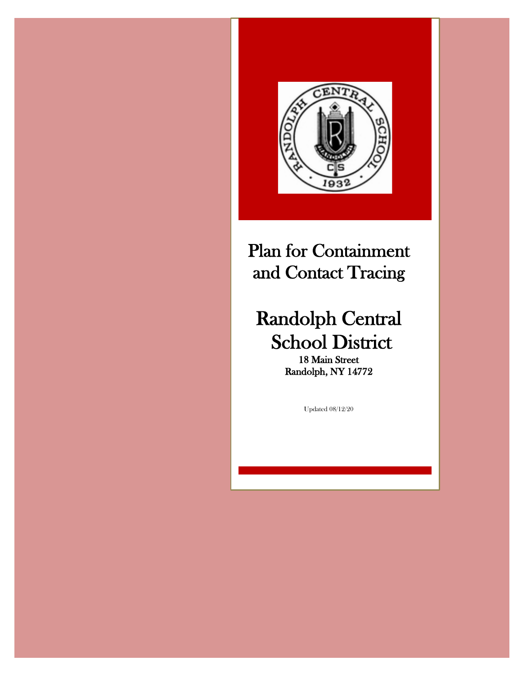

# Plan for Containment and Contact Tracing

# Randolph Central School District

Randolph, NY 14772

Updated 08/12/20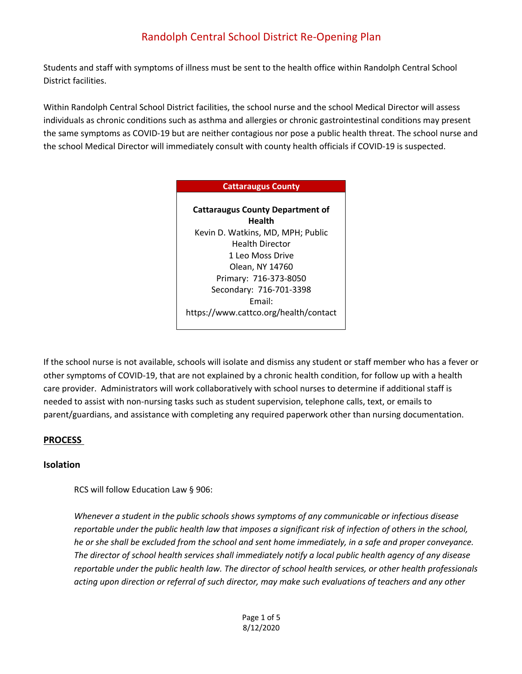Students and staff with symptoms of illness must be sent to the health office within Randolph Central School District facilities.

Within Randolph Central School District facilities, the school nurse and the school Medical Director will assess individuals as chronic conditions such as asthma and allergies or chronic gastrointestinal conditions may present the same symptoms as COVID-19 but are neither contagious nor pose a public health threat. The school nurse and the school Medical Director will immediately consult with county health officials if COVID-19 is suspected.

#### **Cattaraugus County**

**Cattaraugus County Department of Health** Kevin D. Watkins, MD, MPH; Public Health Director 1 Leo Moss Drive Olean, NY 14760 Primary: 716-373-8050 Secondary: 716-701-3398 Email: https://www.cattco.org/health/contact

If the school nurse is not available, schools will isolate and dismiss any student or staff member who has a fever or other symptoms of COVID-19, that are not explained by a chronic health condition, for follow up with a health care provider. Administrators will work collaboratively with school nurses to determine if additional staff is needed to assist with non-nursing tasks such as student supervision, telephone calls, text, or emails to parent/guardians, and assistance with completing any required paperwork other than nursing documentation.

#### **PROCESS**

#### **Isolation**

RCS will follow Education Law § 906:

*Whenever a student in the public schools shows symptoms of any communicable or infectious disease reportable under the public health law that imposes a significant risk of infection of others in the school, he or she shall be excluded from the school and sent home immediately, in a safe and proper conveyance. The director of school health services shall immediately notify a local public health agency of any disease reportable under the public health law. The director of school health services, or other health professionals acting upon direction or referral of such director, may make such evaluations of teachers and any other*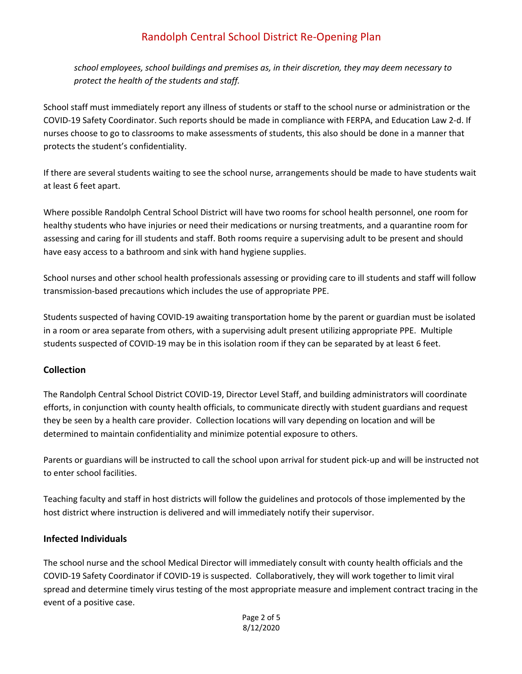*school employees, school buildings and premises as, in their discretion, they may deem necessary to protect the health of the students and staff.* 

School staff must immediately report any illness of students or staff to the school nurse or administration or the COVID-19 Safety Coordinator. Such reports should be made in compliance with FERPA, and Education Law 2-d. If nurses choose to go to classrooms to make assessments of students, this also should be done in a manner that protects the student's confidentiality.

If there are several students waiting to see the school nurse, arrangements should be made to have students wait at least 6 feet apart.

Where possible Randolph Central School District will have two rooms for school health personnel, one room for healthy students who have injuries or need their medications or nursing treatments, and a quarantine room for assessing and caring for ill students and staff. Both rooms require a supervising adult to be present and should have easy access to a bathroom and sink with hand hygiene supplies.

School nurses and other school health professionals assessing or providing care to ill students and staff will follow transmission-based precautions which includes the use of appropriate PPE.

Students suspected of having COVID-19 awaiting transportation home by the parent or guardian must be isolated in a room or area separate from others, with a supervising adult present utilizing appropriate PPE. Multiple students suspected of COVID-19 may be in this isolation room if they can be separated by at least 6 feet.

#### **Collection**

The Randolph Central School District COVID-19, Director Level Staff, and building administrators will coordinate efforts, in conjunction with county health officials, to communicate directly with student guardians and request they be seen by a health care provider. Collection locations will vary depending on location and will be determined to maintain confidentiality and minimize potential exposure to others.

Parents or guardians will be instructed to call the school upon arrival for student pick-up and will be instructed not to enter school facilities.

Teaching faculty and staff in host districts will follow the guidelines and protocols of those implemented by the host district where instruction is delivered and will immediately notify their supervisor.

#### **Infected Individuals**

The school nurse and the school Medical Director will immediately consult with county health officials and the COVID-19 Safety Coordinator if COVID-19 is suspected. Collaboratively, they will work together to limit viral spread and determine timely virus testing of the most appropriate measure and implement contract tracing in the event of a positive case.

> Page 2 of 5 8/12/2020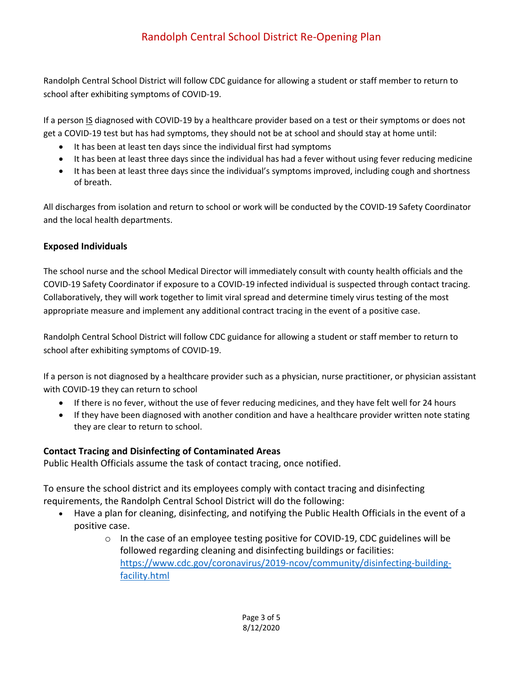Randolph Central School District will follow CDC guidance for allowing a student or staff member to return to school after exhibiting symptoms of COVID-19.

If a person IS diagnosed with COVID-19 by a healthcare provider based on a test or their symptoms or does not get a COVID-19 test but has had symptoms, they should not be at school and should stay at home until:

- It has been at least ten days since the individual first had symptoms
- It has been at least three days since the individual has had a fever without using fever reducing medicine
- It has been at least three days since the individual's symptoms improved, including cough and shortness of breath.

All discharges from isolation and return to school or work will be conducted by the COVID-19 Safety Coordinator and the local health departments.

#### **Exposed Individuals**

The school nurse and the school Medical Director will immediately consult with county health officials and the COVID-19 Safety Coordinator if exposure to a COVID-19 infected individual is suspected through contact tracing. Collaboratively, they will work together to limit viral spread and determine timely virus testing of the most appropriate measure and implement any additional contract tracing in the event of a positive case.

Randolph Central School District will follow CDC guidance for allowing a student or staff member to return to school after exhibiting symptoms of COVID-19.

If a person is not diagnosed by a healthcare provider such as a physician, nurse practitioner, or physician assistant with COVID-19 they can return to school

- If there is no fever, without the use of fever reducing medicines, and they have felt well for 24 hours
- If they have been diagnosed with another condition and have a healthcare provider written note stating they are clear to return to school.

#### **Contact Tracing and Disinfecting of Contaminated Areas**

Public Health Officials assume the task of contact tracing, once notified.

To ensure the school district and its employees comply with contact tracing and disinfecting requirements, the Randolph Central School District will do the following:

- Have a plan for cleaning, disinfecting, and notifying the Public Health Officials in the event of a positive case.
	- o In the case of an employee testing positive for COVID-19, CDC guidelines will be followed regarding cleaning and disinfecting buildings or facilities: https://www.cdc.gov/coronavirus/2019-ncov/community/disinfecting-buildingfacility.html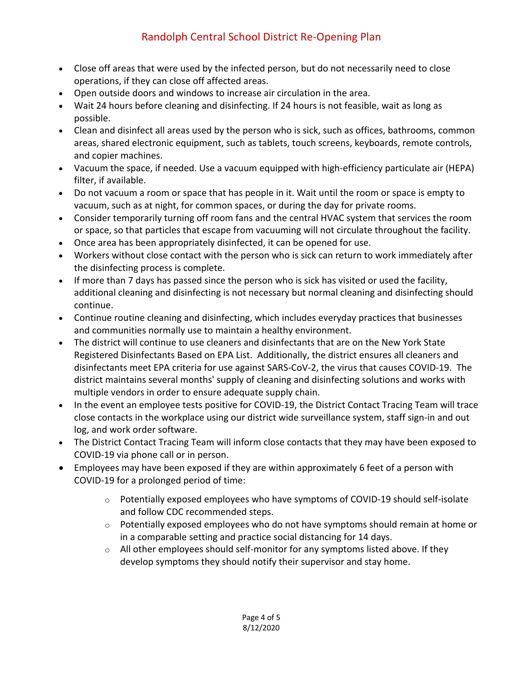- Close off areas that were used by the infected person, but do not necessarily need to close operations, if they can close off affected areas.
- Open outside doors and windows to increase air circulation in the area.
- Wait 24 hours before cleaning and disinfecting. If 24 hours is not feasible, wait as long as possible.
- Clean and disinfect all areas used by the person who is sick, such as offices, bathrooms, common areas, shared electronic equipment, such as tablets, touch screens, keyboards, remote controls, and copier machines.
- Vacuum the space, if needed. Use a vacuum equipped with high-efficiency particulate air (HEPA) filter, if available.
- Do not vacuum a room or space that has people in it. Wait until the room or space is empty to vacuum, such as at night, for common spaces, or during the day for private rooms.
- Consider temporarily turning off room fans and the central HVAC system that services the room or space, so that particles that escape from vacuuming will not circulate throughout the facility.
- Once area has been appropriately disinfected, it can be opened for use.
- Workers without close contact with the person who is sick can return to work immediately after the disinfecting process is complete.
- If more than 7 days has passed since the person who is sick has visited or used the facility, additional cleaning and disinfecting is not necessary but normal cleaning and disinfecting should continue.
- Continue routine cleaning and disinfecting, which includes everyday practices that businesses and communities normally use to maintain a healthy environment.
- The district will continue to use cleaners and disinfectants that are on the New York State Registered Disinfectants Based on EPA List. Additionally, the district ensures all cleaners and disinfectants meet EPA criteria for use against SARS-CoV-2, the virus that causes COVID-19. The district maintains several months' supply of cleaning and disinfecting solutions and works with multiple vendors in order to ensure adequate supply chain.
- In the event an employee tests positive for COVID-19, the District Contact Tracing Team will trace close contacts in the workplace using our district wide surveillance system, staff sign-in and out log, and work order software.
- The District Contact Tracing Team will inform close contacts that they may have been exposed to COVID-19 via phone call or in person.
- Employees may have been exposed if they are within approximately 6 feet of a person with COVID-19 for a prolonged period of time:
	- o Potentially exposed employees who have symptoms of COVID-19 should self-isolate and follow CDC recommended steps.
	- $\circ$  Potentially exposed employees who do not have symptoms should remain at home or in a comparable setting and practice social distancing for 14 days.
	- $\circ$  All other employees should self-monitor for any symptoms listed above. If they develop symptoms they should notify their supervisor and stay home.